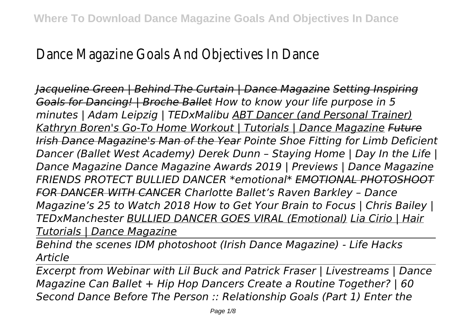Dance Magazine Goals And Objectives In Dance

*Jacqueline Green | Behind The Curtain | Dance Magazine Setting Inspiring Goals for Dancing! | Broche Ballet How to know your life purpose in 5 minutes | Adam Leipzig | TEDxMalibu ABT Dancer (and Personal Trainer) Kathryn Boren's Go-To Home Workout | Tutorials | Dance Magazine Future Irish Dance Magazine's Man of the Year Pointe Shoe Fitting for Limb Deficient Dancer (Ballet West Academy) Derek Dunn – Staying Home | Day In the Life | Dance Magazine Dance Magazine Awards 2019 | Previews | Dance Magazine FRIENDS PROTECT BULLIED DANCER \*emotional\* EMOTIONAL PHOTOSHOOT FOR DANCER WITH CANCER Charlotte Ballet's Raven Barkley – Dance Magazine's 25 to Watch 2018 How to Get Your Brain to Focus | Chris Bailey | TEDxManchester BULLIED DANCER GOES VIRAL (Emotional) Lia Cirio | Hair Tutorials | Dance Magazine*

*Behind the scenes IDM photoshoot (Irish Dance Magazine) - Life Hacks Article*

*Excerpt from Webinar with Lil Buck and Patrick Fraser | Livestreams | Dance Magazine Can Ballet + Hip Hop Dancers Create a Routine Together? | 60 Second Dance Before The Person :: Relationship Goals (Part 1) Enter the*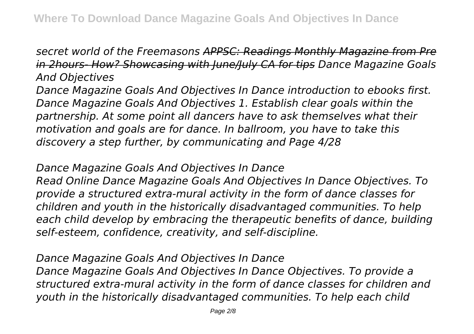## *secret world of the Freemasons APPSC: Readings Monthly Magazine from Pre in 2hours- How? Showcasing with June/July CA for tips Dance Magazine Goals And Objectives*

*Dance Magazine Goals And Objectives In Dance introduction to ebooks first. Dance Magazine Goals And Objectives 1. Establish clear goals within the partnership. At some point all dancers have to ask themselves what their motivation and goals are for dance. In ballroom, you have to take this discovery a step further, by communicating and Page 4/28*

## *Dance Magazine Goals And Objectives In Dance*

*Read Online Dance Magazine Goals And Objectives In Dance Objectives. To provide a structured extra-mural activity in the form of dance classes for children and youth in the historically disadvantaged communities. To help each child develop by embracing the therapeutic benefits of dance, building self-esteem, confidence, creativity, and self-discipline.*

*Dance Magazine Goals And Objectives In Dance Dance Magazine Goals And Objectives In Dance Objectives. To provide a structured extra-mural activity in the form of dance classes for children and youth in the historically disadvantaged communities. To help each child*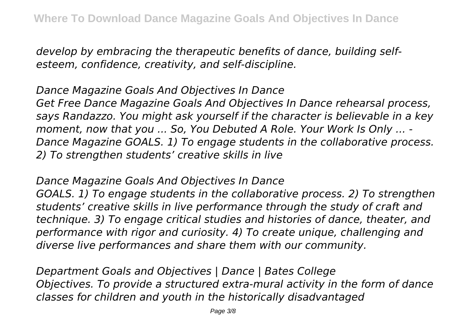*develop by embracing the therapeutic benefits of dance, building selfesteem, confidence, creativity, and self-discipline.*

*Dance Magazine Goals And Objectives In Dance Get Free Dance Magazine Goals And Objectives In Dance rehearsal process, says Randazzo. You might ask yourself if the character is believable in a key moment, now that you ... So, You Debuted A Role. Your Work Is Only ... - Dance Magazine GOALS. 1) To engage students in the collaborative process. 2) To strengthen students' creative skills in live*

*Dance Magazine Goals And Objectives In Dance*

*GOALS. 1) To engage students in the collaborative process. 2) To strengthen students' creative skills in live performance through the study of craft and technique. 3) To engage critical studies and histories of dance, theater, and performance with rigor and curiosity. 4) To create unique, challenging and diverse live performances and share them with our community.*

*Department Goals and Objectives | Dance | Bates College Objectives. To provide a structured extra-mural activity in the form of dance classes for children and youth in the historically disadvantaged*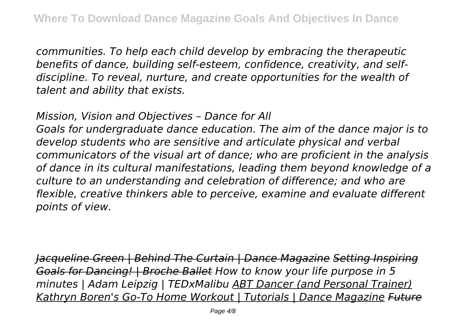*communities. To help each child develop by embracing the therapeutic benefits of dance, building self-esteem, confidence, creativity, and selfdiscipline. To reveal, nurture, and create opportunities for the wealth of talent and ability that exists.*

*Mission, Vision and Objectives – Dance for All*

*Goals for undergraduate dance education. The aim of the dance major is to develop students who are sensitive and articulate physical and verbal communicators of the visual art of dance; who are proficient in the analysis of dance in its cultural manifestations, leading them beyond knowledge of a culture to an understanding and celebration of difference; and who are flexible, creative thinkers able to perceive, examine and evaluate different points of view.*

*Jacqueline Green | Behind The Curtain | Dance Magazine Setting Inspiring Goals for Dancing! | Broche Ballet How to know your life purpose in 5 minutes | Adam Leipzig | TEDxMalibu ABT Dancer (and Personal Trainer) Kathryn Boren's Go-To Home Workout | Tutorials | Dance Magazine Future*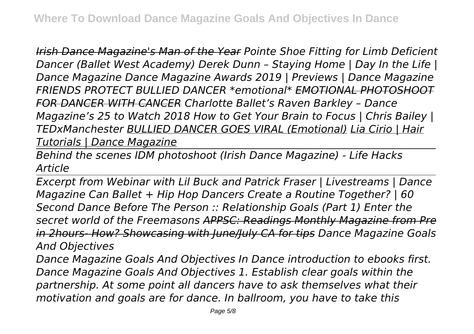*Irish Dance Magazine's Man of the Year Pointe Shoe Fitting for Limb Deficient Dancer (Ballet West Academy) Derek Dunn – Staying Home | Day In the Life | Dance Magazine Dance Magazine Awards 2019 | Previews | Dance Magazine FRIENDS PROTECT BULLIED DANCER \*emotional\* EMOTIONAL PHOTOSHOOT FOR DANCER WITH CANCER Charlotte Ballet's Raven Barkley – Dance Magazine's 25 to Watch 2018 How to Get Your Brain to Focus | Chris Bailey | TEDxManchester BULLIED DANCER GOES VIRAL (Emotional) Lia Cirio | Hair Tutorials | Dance Magazine*

*Behind the scenes IDM photoshoot (Irish Dance Magazine) - Life Hacks Article*

*Excerpt from Webinar with Lil Buck and Patrick Fraser | Livestreams | Dance Magazine Can Ballet + Hip Hop Dancers Create a Routine Together? | 60 Second Dance Before The Person :: Relationship Goals (Part 1) Enter the secret world of the Freemasons APPSC: Readings Monthly Magazine from Pre in 2hours- How? Showcasing with June/July CA for tips Dance Magazine Goals And Objectives*

*Dance Magazine Goals And Objectives In Dance introduction to ebooks first. Dance Magazine Goals And Objectives 1. Establish clear goals within the partnership. At some point all dancers have to ask themselves what their motivation and goals are for dance. In ballroom, you have to take this*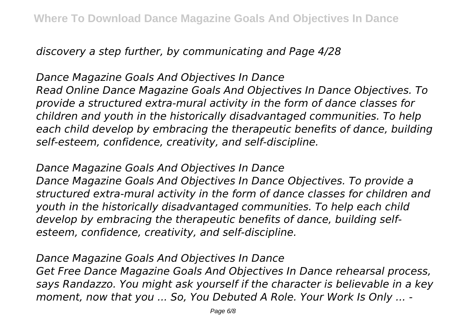*discovery a step further, by communicating and Page 4/28*

*Dance Magazine Goals And Objectives In Dance Read Online Dance Magazine Goals And Objectives In Dance Objectives. To provide a structured extra-mural activity in the form of dance classes for children and youth in the historically disadvantaged communities. To help each child develop by embracing the therapeutic benefits of dance, building self-esteem, confidence, creativity, and self-discipline.*

*Dance Magazine Goals And Objectives In Dance*

*Dance Magazine Goals And Objectives In Dance Objectives. To provide a structured extra-mural activity in the form of dance classes for children and youth in the historically disadvantaged communities. To help each child develop by embracing the therapeutic benefits of dance, building selfesteem, confidence, creativity, and self-discipline.*

*Dance Magazine Goals And Objectives In Dance Get Free Dance Magazine Goals And Objectives In Dance rehearsal process, says Randazzo. You might ask yourself if the character is believable in a key moment, now that you ... So, You Debuted A Role. Your Work Is Only ... -*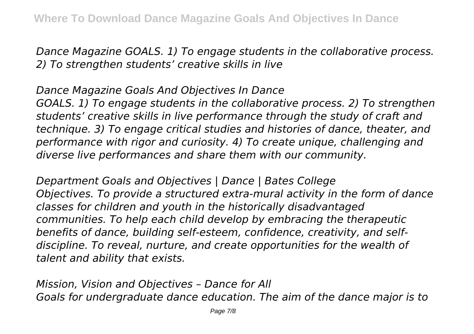*Dance Magazine GOALS. 1) To engage students in the collaborative process. 2) To strengthen students' creative skills in live*

*Dance Magazine Goals And Objectives In Dance GOALS. 1) To engage students in the collaborative process. 2) To strengthen students' creative skills in live performance through the study of craft and technique. 3) To engage critical studies and histories of dance, theater, and performance with rigor and curiosity. 4) To create unique, challenging and diverse live performances and share them with our community.*

*Department Goals and Objectives | Dance | Bates College Objectives. To provide a structured extra-mural activity in the form of dance classes for children and youth in the historically disadvantaged communities. To help each child develop by embracing the therapeutic benefits of dance, building self-esteem, confidence, creativity, and selfdiscipline. To reveal, nurture, and create opportunities for the wealth of talent and ability that exists.*

*Mission, Vision and Objectives – Dance for All Goals for undergraduate dance education. The aim of the dance major is to*